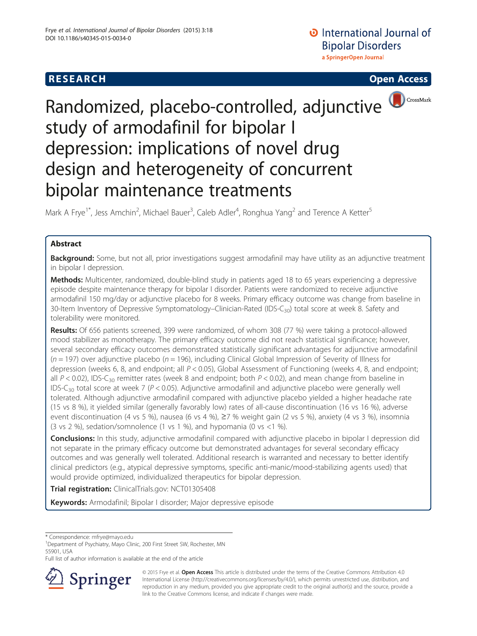## **RESEARCH CHILD CONTROL** CONTROL CONTROL CONTROL CONTROL CONTROL CONTROL CONTROL CONTROL CONTROL CONTROL CONTROL CONTROL CONTROL CONTROL CONTROL CONTROL CONTROL CONTROL CONTROL CONTROL CONTROL CONTROL CONTROL CONTROL CONTR



# Randomized, placebo-controlled, adjunctive study of armodafinil for bipolar I depression: implications of novel drug design and heterogeneity of concurrent bipolar maintenance treatments

Mark A Frye<sup>1\*</sup>, Jess Amchin<sup>2</sup>, Michael Bauer<sup>3</sup>, Caleb Adler<sup>4</sup>, Ronghua Yang<sup>2</sup> and Terence A Ketter<sup>5</sup>

## Abstract

Background: Some, but not all, prior investigations suggest armodafinil may have utility as an adjunctive treatment in bipolar I depression.

Methods: Multicenter, randomized, double-blind study in patients aged 18 to 65 years experiencing a depressive episode despite maintenance therapy for bipolar I disorder. Patients were randomized to receive adjunctive armodafinil 150 mg/day or adjunctive placebo for 8 weeks. Primary efficacy outcome was change from baseline in 30-Item Inventory of Depressive Symptomatology–Clinician-Rated (IDS-C<sub>30</sub>) total score at week 8. Safety and tolerability were monitored.

Results: Of 656 patients screened, 399 were randomized, of whom 308 (77 %) were taking a protocol-allowed mood stabilizer as monotherapy. The primary efficacy outcome did not reach statistical significance; however, several secondary efficacy outcomes demonstrated statistically significant advantages for adjunctive armodafinil  $(n = 197)$  over adjunctive placebo  $(n = 196)$ , including Clinical Global Impression of Severity of Illness for depression (weeks 6, 8, and endpoint; all  $P < 0.05$ ), Global Assessment of Functioning (weeks 4, 8, and endpoint; all  $P < 0.02$ ), IDS-C<sub>30</sub> remitter rates (week 8 and endpoint; both  $P < 0.02$ ), and mean change from baseline in IDS-C<sub>30</sub> total score at week 7 ( $P < 0.05$ ). Adjunctive armodafinil and adjunctive placebo were generally well tolerated. Although adjunctive armodafinil compared with adjunctive placebo yielded a higher headache rate (15 vs 8 %), it yielded similar (generally favorably low) rates of all-cause discontinuation (16 vs 16 %), adverse event discontinuation (4 vs 5 %), nausea (6 vs 4 %), ≥7 % weight gain (2 vs 5 %), anxiety (4 vs 3 %), insomnia (3 vs 2 %), sedation/somnolence (1 vs 1 %), and hypomania (0 vs <1 %).

Conclusions: In this study, adjunctive armodafinil compared with adjunctive placebo in bipolar I depression did not separate in the primary efficacy outcome but demonstrated advantages for several secondary efficacy outcomes and was generally well tolerated. Additional research is warranted and necessary to better identify clinical predictors (e.g., atypical depressive symptoms, specific anti-manic/mood-stabilizing agents used) that would provide optimized, individualized therapeutics for bipolar depression.

**Trial registration:** ClinicalTrials.gov: [NCT01305408](https://clinicaltrials.gov/ct2/show/NCT01305408)

Keywords: Armodafinil; Bipolar I disorder; Major depressive episode

\* Correspondence: [mfrye@mayo.edu](mailto:mfrye@mayo.edu) <sup>1</sup>

<sup>1</sup>Department of Psychiatry, Mayo Clinic, 200 First Street SW, Rochester, MN 55901, USA

Full list of author information is available at the end of the article



<sup>© 2015</sup> Frye et al. Open Access This article is distributed under the terms of the Creative Commons Attribution 4.0 International License ([http://creativecommons.org/licenses/by/4.0/\)](http://creativecommons.org/licenses/by/4.0/), which permits unrestricted use, distribution, and reproduction in any medium, provided you give appropriate credit to the original author(s) and the source, provide a link to the Creative Commons license, and indicate if changes were made.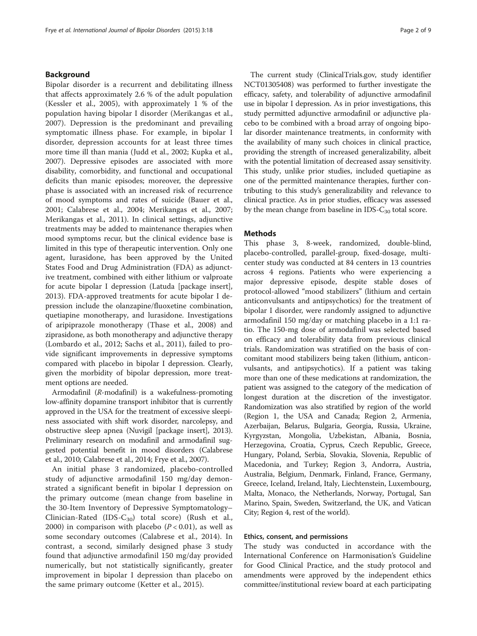#### Background

Bipolar disorder is a recurrent and debilitating illness that affects approximately 2.6 % of the adult population (Kessler et al., [2005](#page-8-0)), with approximately 1 % of the population having bipolar I disorder (Merikangas et al., [2007\)](#page-8-0). Depression is the predominant and prevailing symptomatic illness phase. For example, in bipolar I disorder, depression accounts for at least three times more time ill than mania (Judd et al., [2002;](#page-8-0) Kupka et al., [2007](#page-8-0)). Depressive episodes are associated with more disability, comorbidity, and functional and occupational deficits than manic episodes; moreover, the depressive phase is associated with an increased risk of recurrence of mood symptoms and rates of suicide (Bauer et al., [2001](#page-7-0); Calabrese et al., [2004](#page-7-0); Merikangas et al., [2007](#page-8-0); Merikangas et al., [2011](#page-8-0)). In clinical settings, adjunctive treatments may be added to maintenance therapies when mood symptoms recur, but the clinical evidence base is limited in this type of therapeutic intervention. Only one agent, lurasidone, has been approved by the United States Food and Drug Administration (FDA) as adjunctive treatment, combined with either lithium or valproate for acute bipolar I depression (Latuda [package insert], [2013](#page-8-0)). FDA-approved treatments for acute bipolar I depression include the olanzapine/fluoxetine combination, quetiapine monotherapy, and lurasidone. Investigations of aripiprazole monotherapy (Thase et al., [2008\)](#page-8-0) and ziprasidone, as both monotherapy and adjunctive therapy (Lombardo et al., [2012;](#page-8-0) Sachs et al., [2011](#page-8-0)), failed to provide significant improvements in depressive symptoms compared with placebo in bipolar I depression. Clearly, given the morbidity of bipolar depression, more treatment options are needed.

Armodafinil (R-modafinil) is a wakefulness-promoting low-affinity dopamine transport inhibitor that is currently approved in the USA for the treatment of excessive sleepiness associated with shift work disorder, narcolepsy, and obstructive sleep apnea (Nuvigil [package insert], [2013](#page-8-0)). Preliminary research on modafinil and armodafinil suggested potential benefit in mood disorders (Calabrese et al., [2010;](#page-7-0) Calabrese et al., [2014](#page-7-0); Frye et al., [2007\)](#page-7-0).

An initial phase 3 randomized, placebo-controlled study of adjunctive armodafinil 150 mg/day demonstrated a significant benefit in bipolar I depression on the primary outcome (mean change from baseline in the 30-Item Inventory of Depressive Symptomatology– Clinician-Rated (IDS-C<sub>30</sub>) total score) (Rush et al., [2000\)](#page-8-0) in comparison with placebo ( $P < 0.01$ ), as well as some secondary outcomes (Calabrese et al., [2014\)](#page-7-0). In contrast, a second, similarly designed phase 3 study found that adjunctive armodafinil 150 mg/day provided numerically, but not statistically significantly, greater improvement in bipolar I depression than placebo on the same primary outcome (Ketter et al., [2015](#page-8-0)).

The current study (ClinicalTrials.gov, study identifier NCT01305408) was performed to further investigate the efficacy, safety, and tolerability of adjunctive armodafinil use in bipolar I depression. As in prior investigations, this study permitted adjunctive armodafinil or adjunctive placebo to be combined with a broad array of ongoing bipolar disorder maintenance treatments, in conformity with the availability of many such choices in clinical practice, providing the strength of increased generalizability, albeit with the potential limitation of decreased assay sensitivity. This study, unlike prior studies, included quetiapine as one of the permitted maintenance therapies, further contributing to this study's generalizability and relevance to clinical practice. As in prior studies, efficacy was assessed by the mean change from baseline in IDS- $C_{30}$  total score.

### **Methods**

This phase 3, 8-week, randomized, double-blind, placebo-controlled, parallel-group, fixed-dosage, multicenter study was conducted at 84 centers in 13 countries across 4 regions. Patients who were experiencing a major depressive episode, despite stable doses of protocol-allowed "mood stabilizers" (lithium and certain anticonvulsants and antipsychotics) for the treatment of bipolar I disorder, were randomly assigned to adjunctive armodafinil 150 mg/day or matching placebo in a 1:1 ratio. The 150-mg dose of armodafinil was selected based on efficacy and tolerability data from previous clinical trials. Randomization was stratified on the basis of concomitant mood stabilizers being taken (lithium, anticonvulsants, and antipsychotics). If a patient was taking more than one of these medications at randomization, the patient was assigned to the category of the medication of longest duration at the discretion of the investigator. Randomization was also stratified by region of the world (Region 1, the USA and Canada; Region 2, Armenia, Azerbaijan, Belarus, Bulgaria, Georgia, Russia, Ukraine, Kyrgyzstan, Mongolia, Uzbekistan, Albania, Bosnia, Herzegovina, Croatia, Cyprus, Czech Republic, Greece, Hungary, Poland, Serbia, Slovakia, Slovenia, Republic of Macedonia, and Turkey; Region 3, Andorra, Austria, Australia, Belgium, Denmark, Finland, France, Germany, Greece, Iceland, Ireland, Italy, Liechtenstein, Luxembourg, Malta, Monaco, the Netherlands, Norway, Portugal, San Marino, Spain, Sweden, Switzerland, the UK, and Vatican City; Region 4, rest of the world).

#### Ethics, consent, and permissions

The study was conducted in accordance with the International Conference on Harmonisation's Guideline for Good Clinical Practice, and the study protocol and amendments were approved by the independent ethics committee/institutional review board at each participating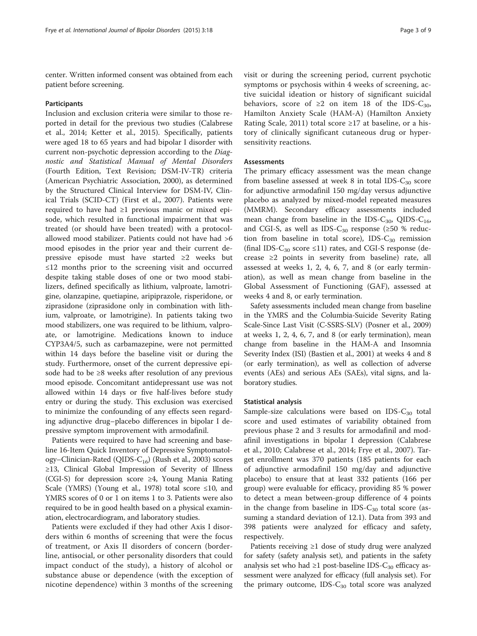center. Written informed consent was obtained from each patient before screening.

#### Participants

Inclusion and exclusion criteria were similar to those reported in detail for the previous two studies (Calabrese et al., [2014](#page-7-0); Ketter et al., [2015](#page-8-0)). Specifically, patients were aged 18 to 65 years and had bipolar I disorder with current non-psychotic depression according to the Diagnostic and Statistical Manual of Mental Disorders (Fourth Edition, Text Revision; DSM-IV-TR) criteria (American Psychiatric Association, [2000](#page-7-0)), as determined by the Structured Clinical Interview for DSM-IV, Clinical Trials (SCID-CT) (First et al., [2007\)](#page-7-0). Patients were required to have had ≥1 previous manic or mixed episode, which resulted in functional impairment that was treated (or should have been treated) with a protocolallowed mood stabilizer. Patients could not have had >6 mood episodes in the prior year and their current depressive episode must have started ≥2 weeks but ≤12 months prior to the screening visit and occurred despite taking stable doses of one or two mood stabilizers, defined specifically as lithium, valproate, lamotrigine, olanzapine, quetiapine, aripiprazole, risperidone, or ziprasidone (ziprasidone only in combination with lithium, valproate, or lamotrigine). In patients taking two mood stabilizers, one was required to be lithium, valproate, or lamotrigine. Medications known to induce CYP3A4/5, such as carbamazepine, were not permitted within 14 days before the baseline visit or during the study. Furthermore, onset of the current depressive episode had to be ≥8 weeks after resolution of any previous mood episode. Concomitant antidepressant use was not allowed within 14 days or five half-lives before study entry or during the study. This exclusion was exercised to minimize the confounding of any effects seen regarding adjunctive drug–placebo differences in bipolar I depressive symptom improvement with armodafinil.

Patients were required to have had screening and baseline 16-Item Quick Inventory of Depressive Symptomatol-ogy-Clinician-Rated (QIDS-C<sub>16</sub>) (Rush et al., [2003\)](#page-8-0) scores ≥13, Clinical Global Impression of Severity of Illness (CGI-S) for depression score ≥4, Young Mania Rating Scale (YMRS) (Young et al., [1978\)](#page-8-0) total score  $\leq 10$ , and YMRS scores of 0 or 1 on items 1 to 3. Patients were also required to be in good health based on a physical examination, electrocardiogram, and laboratory studies.

Patients were excluded if they had other Axis I disorders within 6 months of screening that were the focus of treatment, or Axis II disorders of concern (borderline, antisocial, or other personality disorders that could impact conduct of the study), a history of alcohol or substance abuse or dependence (with the exception of nicotine dependence) within 3 months of the screening visit or during the screening period, current psychotic symptoms or psychosis within 4 weeks of screening, active suicidal ideation or history of significant suicidal behaviors, score of  $\geq 2$  on item 18 of the IDS-C<sub>30</sub>, Hamilton Anxiety Scale (HAM-A) (Hamilton Anxiety Rating Scale, [2011](#page-7-0)) total score ≥17 at baseline, or a history of clinically significant cutaneous drug or hypersensitivity reactions.

## Assessments

The primary efficacy assessment was the mean change from baseline assessed at week 8 in total IDS- $C_{30}$  score for adjunctive armodafinil 150 mg/day versus adjunctive placebo as analyzed by mixed-model repeated measures (MMRM). Secondary efficacy assessments included mean change from baseline in the IDS-C<sub>30</sub>, QIDS-C<sub>16</sub>, and CGI-S, as well as IDS-C<sub>30</sub> response ( $\geq 50$  % reduction from baseline in total score), IDS- $C_{30}$  remission (final IDS-C<sub>30</sub> score ≤11) rates, and CGI-S response (decrease  $\geq 2$  points in severity from baseline) rate, all assessed at weeks 1, 2, 4, 6, 7, and 8 (or early termination), as well as mean change from baseline in the Global Assessment of Functioning (GAF), assessed at weeks 4 and 8, or early termination.

Safety assessments included mean change from baseline in the YMRS and the Columbia-Suicide Severity Rating Scale-Since Last Visit (C-SSRS-SLV) (Posner et al., [2009](#page-8-0)) at weeks 1, 2, 4, 6, 7, and 8 (or early termination), mean change from baseline in the HAM-A and Insomnia Severity Index (ISI) (Bastien et al., [2001](#page-7-0)) at weeks 4 and 8 (or early termination), as well as collection of adverse events (AEs) and serious AEs (SAEs), vital signs, and laboratory studies.

#### Statistical analysis

Sample-size calculations were based on IDS- $C_{30}$  total score and used estimates of variability obtained from previous phase 2 and 3 results for armodafinil and modafinil investigations in bipolar I depression (Calabrese et al., [2010;](#page-7-0) Calabrese et al., [2014](#page-7-0); Frye et al., [2007\)](#page-7-0). Target enrollment was 370 patients (185 patients for each of adjunctive armodafinil 150 mg/day and adjunctive placebo) to ensure that at least 332 patients (166 per group) were evaluable for efficacy, providing 85 % power to detect a mean between-group difference of 4 points in the change from baseline in IDS- $C_{30}$  total score (assuming a standard deviation of 12.1). Data from 393 and 398 patients were analyzed for efficacy and safety, respectively.

Patients receiving ≥1 dose of study drug were analyzed for safety (safety analysis set), and patients in the safety analysis set who had ≥1 post-baseline IDS- $C_{30}$  efficacy assessment were analyzed for efficacy (full analysis set). For the primary outcome, IDS- $C_{30}$  total score was analyzed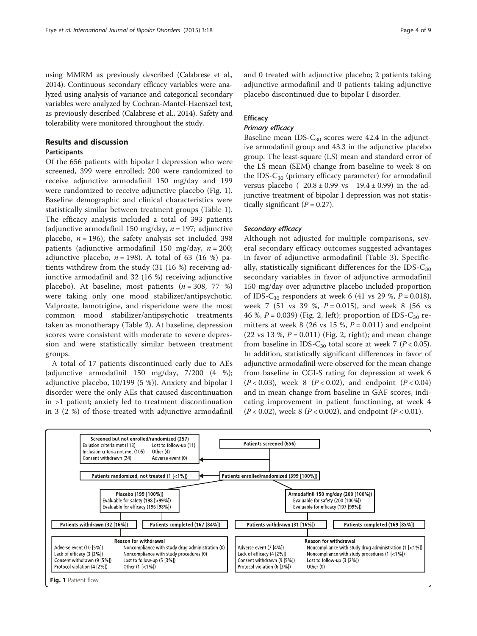using MMRM as previously described (Calabrese et al., [2014\)](#page-7-0). Continuous secondary efficacy variables were analyzed using analysis of variance and categorical secondary variables were analyzed by Cochran-Mantel-Haenszel test, as previously described (Calabrese et al., [2014\)](#page-7-0). Safety and tolerability were monitored throughout the study.

## Results and discussion

## Participants

Of the 656 patients with bipolar I depression who were screened, 399 were enrolled; 200 were randomized to receive adjunctive armodafinil 150 mg/day and 199 were randomized to receive adjunctive placebo (Fig. 1). Baseline demographic and clinical characteristics were statistically similar between treatment groups (Table [1](#page-4-0)). The efficacy analysis included a total of 393 patients (adjunctive armodafinil 150 mg/day,  $n = 197$ ; adjunctive placebo,  $n = 196$ ); the safety analysis set included 398 patients (adjunctive armodafinil 150 mg/day,  $n = 200$ ; adjunctive placebo,  $n = 198$ ). A total of 63 (16 %) patients withdrew from the study (31 (16 %) receiving adjunctive armodafinil and 32 (16 %) receiving adjunctive placebo). At baseline, most patients  $(n = 308, 77 \%)$ were taking only one mood stabilizer/antipsychotic. Valproate, lamotrigine, and risperidone were the most common mood stabilizer/antipsychotic treatments taken as monotherapy (Table [2\)](#page-4-0). At baseline, depression scores were consistent with moderate to severe depression and were statistically similar between treatment groups.

A total of 17 patients discontinued early due to AEs (adjunctive armodafinil 150 mg/day, 7/200 (4 %); adjunctive placebo, 10/199 (5 %)). Anxiety and bipolar I disorder were the only AEs that caused discontinuation in >1 patient; anxiety led to treatment discontinuation in 3 (2 %) of those treated with adjunctive armodafinil

and 0 treated with adjunctive placebo; 2 patients taking adjunctive armodafinil and 0 patients taking adjunctive placebo discontinued due to bipolar I disorder.

## **Efficacy**

## Primary efficacy

Baseline mean IDS- $C_{30}$  scores were 42.4 in the adjunctive armodafinil group and 43.3 in the adjunctive placebo group. The least-square (LS) mean and standard error of the LS mean (SEM) change from baseline to week 8 on the IDS- $C_{30}$  (primary efficacy parameter) for armodafinil versus placebo (−20.8 ± 0.99 vs −19.4 ± 0.99) in the adjunctive treatment of bipolar I depression was not statistically significant  $(P = 0.27)$ .

## Secondary efficacy

Although not adjusted for multiple comparisons, several secondary efficacy outcomes suggested advantages in favor of adjunctive armodafinil (Table [3](#page-5-0)). Specifically, statistically significant differences for the IDS- $C_{30}$ secondary variables in favor of adjunctive armodafinil 150 mg/day over adjunctive placebo included proportion of IDS-C<sub>30</sub> responders at week 6 (41 vs 29 %,  $P = 0.018$ ), week 7 (51 vs 39 %,  $P = 0.015$ ), and week 8 (56 vs 46 %,  $P = 0.039$ ) (Fig. [2](#page-6-0), left); proportion of IDS-C<sub>30</sub> remitters at week 8 (26 vs 15 %,  $P = 0.011$ ) and endpoint (22 vs 13 %,  $P = 0.011$ ) (Fig. [2,](#page-6-0) right); and mean change from baseline in IDS-C<sub>30</sub> total score at week 7 ( $P < 0.05$ ). In addition, statistically significant differences in favor of adjunctive armodafinil were observed for the mean change from baseline in CGI-S rating for depression at week 6  $(P < 0.03)$ , week 8  $(P < 0.02)$ , and endpoint  $(P < 0.04)$ and in mean change from baseline in GAF scores, indicating improvement in patient functioning, at week 4  $(P < 0.02)$ , week 8 (P < 0.002), and endpoint (P < 0.01).

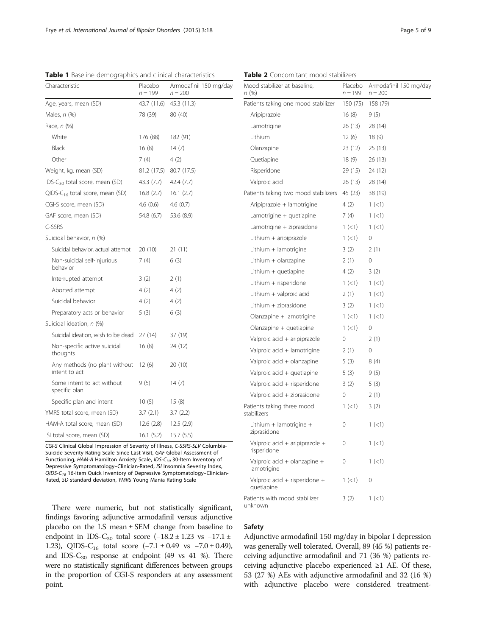| Characteristic                                 | Placebo<br>$n = 199$ | Armodafinil 150 mg/day<br>$n = 200$ |
|------------------------------------------------|----------------------|-------------------------------------|
| Age, years, mean (SD)                          | 43.7 (11.6)          | 45.3 (11.3)                         |
| Males, n (%)                                   | 78 (39)              | 80 (40)                             |
| Race, n (%)                                    |                      |                                     |
| White                                          | 176 (88)             | 182 (91)                            |
| Black                                          | 16(8)                | 14(7)                               |
| Other                                          | 7 (4)                | 4 (2)                               |
| Weight, kg, mean (SD)                          | 81.2 (17.5)          | 80.7 (17.5)                         |
| IDS-C <sub>30</sub> total score, mean (SD)     | 43.3 (7.7)           | 42.4 (7.7)                          |
| QIDS-C <sub>16</sub> total score, mean (SD)    | 16.8(2.7)            | 16.1(2.7)                           |
| CGI-S score, mean (SD)                         | 4.6(0.6)             | 4.6(0.7)                            |
| GAF score, mean (SD)                           | 54.8 (6.7)           | 53.6 (8.9)                          |
| C-SSRS                                         |                      |                                     |
| Suicidal behavior, n (%)                       |                      |                                     |
| Suicidal behavior, actual attempt              | 20(10)               | 21 (11)                             |
| Non-suicidal self-injurious<br>behavior        | 7(4)                 | 6(3)                                |
| Interrupted attempt                            | 3(2)                 | 2(1)                                |
| Aborted attempt                                | 4(2)                 | 4(2)                                |
| Suicidal behavior                              | 4(2)                 | 4(2)                                |
| Preparatory acts or behavior                   | 5(3)                 | 6 (3)                               |
| Suicidal ideation, n (%)                       |                      |                                     |
| Suicidal ideation, wish to be dead             | 27(14)               | 37 (19)                             |
| Non-specific active suicidal<br>thoughts       | 16(8)                | 24 (12)                             |
| Any methods (no plan) without<br>intent to act | 12(6)                | 20(10)                              |
| Some intent to act without<br>specific plan    | 9(5)                 | 14(7)                               |
| Specific plan and intent                       | 10(5)                | 15(8)                               |
| YMRS total score, mean (SD)                    | 3.7(2.1)             | 3.7(2.2)                            |
| HAM-A total score, mean (SD)                   | 12.6(2.8)            | 12.5(2.9)                           |
| ISI total score, mean (SD)                     | 16.1(5.2)            | 15.7(5.5)                           |

<span id="page-4-0"></span>Table 1 Baseline demographics and clinical characteristics

al Impression of Severity of Illne Suicide Severity Rating Scale-Since Last Visit, GAF Global Assessment of Functioning, HAM-A Hamilton Anxiety Scale, IDS-C<sub>30</sub> 30-Item Inventory of Depressive Symptomatology–Clinician-Rated, ISI Insomnia Severity Index, QIDS-C<sub>16</sub> 16-Item Quick Inventory of Depressive Symptomatology–Clinician-Rated, SD standard deviation, YMRS Young Mania Rating Scale

There were numeric, but not statistically significant, findings favoring adjunctive armodafinil versus adjunctive placebo on the LS mean ± SEM change from baseline to endpoint in IDS-C<sub>30</sub> total score  $(-18.2 \pm 1.23 \text{ vs } -17.1 \pm 1.25 \text{ vs } -17.1 \pm 1.25 \text{ vs } -17.1 \pm 1.25 \text{ vs } -17.1 \pm 1.25 \text{ vs } -17.1 \pm 1.25 \text{ vs } -17.1 \pm 1.25 \text{ vs } -17.1 \pm 1.25 \text{ vs } -17.1 \pm 1.25 \text{ vs } -17.1 \pm 1.25 \text{ vs } -17.1 \pm 1.25 \text{ vs$ 1.23), QIDS-C<sub>16</sub> total score  $(-7.1 \pm 0.49 \text{ vs } -7.0 \pm 0.49)$ , and IDS- $C_{30}$  response at endpoint (49 vs 41 %). There were no statistically significant differences between groups in the proportion of CGI-S responders at any assessment point.

| Mood stabilizer at baseline,<br>n (%)         | Placebo<br>n = 199 | Armodafinil 150 mg/day<br>$n = 200$ |
|-----------------------------------------------|--------------------|-------------------------------------|
| Patients taking one mood stabilizer           | 150 (75)           | 158 (79)                            |
| Aripiprazole                                  | 16(8)              | 9 (5)                               |
| Lamotrigine                                   | 26 (13)            | 28 (14)                             |
| Lithium                                       | 12(6)              | 18 (9)                              |
| Olanzapine                                    | 23 (12)            | 25 (13)                             |
| Quetiapine                                    | 18 (9)             | 26 (13)                             |
| Risperidone                                   | 29 (15)            | 24 (12)                             |
| Valproic acid                                 | 26 (13)            | 28 (14)                             |
| Patients taking two mood stabilizers          | 45 (23)            | 38 (19)                             |
| Aripiprazole + lamotrigine                    | 4(2)               | 1(<1)                               |
| Lamotrigine + quetiapine                      | 7 (4)              | $1 (\lt 1)$                         |
| Lamotrigine + ziprasidone                     | $1 (\leq 1)$       | 1(<1)                               |
| Lithium + aripiprazole                        | $1 (\leq 1)$       | 0                                   |
| Lithium + lamotrigine                         | 3(2)               | 2(1)                                |
| Lithium + olanzapine                          | 2(1)               | 0                                   |
| Lithium $+$ quetiapine                        | 4(2)               | 3(2)                                |
| Lithium + risperidone                         | $1 (\leq 1)$       | $1 (\lt 1)$                         |
| Lithium + valproic acid                       | 2(1)               | 1(<1)                               |
| Lithium + ziprasidone                         | 3(2)               | 1 (< 1)                             |
| Olanzapine + lamotrigine                      | $1 (\lt 1)$        | $1 (\lt 1)$                         |
| Olanzapine + quetiapine                       | $1 (\lt 1)$        | 0                                   |
| Valproic acid + aripiprazole                  | 0                  | 2(1)                                |
| Valproic acid + lamotrigine                   | 2(1)               | 0                                   |
| Valproic acid + olanzapine                    | 5 (3)              | 8 (4)                               |
| Valproic acid + quetiapine                    | 5(3)               | 9 (5)                               |
| Valproic acid + risperidone                   | 3(2)               | 5(3)                                |
| Valproic acid + ziprasidone                   | 0                  | 2(1)                                |
| Patients taking three mood<br>stabilizers     | 1 (< 1)            | 3(2)                                |
| Lithium + lamotrigine +<br>ziprasidone        | 0                  | $1 (\lt 1)$                         |
| Valproic acid + aripiprazole +<br>risperidone | 0                  | 1 (< 1)                             |
| Valproic acid + olanzapine +<br>lamotrigine   | 0                  | 1 (< 1)                             |
| Valproic acid + risperidone +<br>quetiapine   | 1(<1)              | 0                                   |
| Patients with mood stabilizer<br>unknown      | 3(2)               | 1 (< 1)                             |

Table 2 Concomitant mood stabilizers

#### Safety

Adjunctive armodafinil 150 mg/day in bipolar I depression was generally well tolerated. Overall, 89 (45 %) patients receiving adjunctive armodafinil and 71 (36 %) patients receiving adjunctive placebo experienced  $\geq 1$  AE. Of these, 53 (27 %) AEs with adjunctive armodafinil and 32 (16 %) with adjunctive placebo were considered treatment-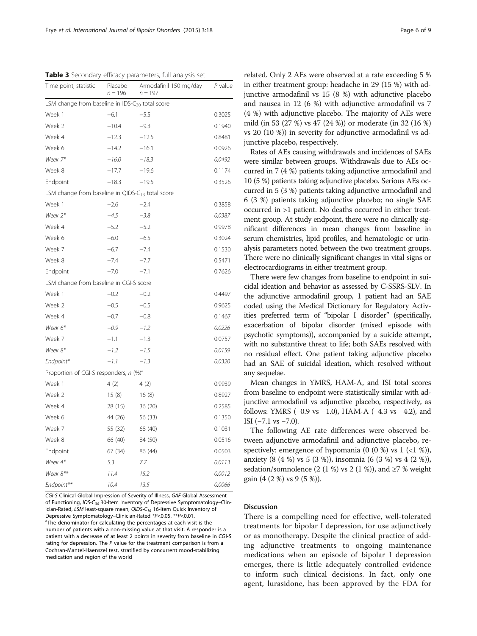<span id="page-5-0"></span>Table 3 Secondary efficacy parameters, full analysis set

| Time point, statistic                                        | Placebo<br>$n = 196$ | Armodafinil 150 mg/day<br>$n = 197$ | P value |  |  |
|--------------------------------------------------------------|----------------------|-------------------------------------|---------|--|--|
| LSM change from baseline in IDS-C <sub>30</sub> total score  |                      |                                     |         |  |  |
| Week 1                                                       | $-6.1$               | $-5.5$                              | 0.3025  |  |  |
| Week 2                                                       | $-10.4$              | $-9.3$                              | 0.1940  |  |  |
| Week 4                                                       | $-12.3$              | $-12.5$                             | 0.8481  |  |  |
| Week 6                                                       | $-14.2$              | $-16.1$                             | 0.0926  |  |  |
| Week 7*                                                      | $-16.0$              | $-18.3$                             | 0.0492  |  |  |
| Week 8                                                       | $-17.7$              | $-19.6$                             | 0.1174  |  |  |
| Endpoint                                                     | $-18.3$              | $-19.5$                             | 0.3526  |  |  |
| LSM change from baseline in QIDS-C <sub>16</sub> total score |                      |                                     |         |  |  |
| Week 1                                                       | $-2.6$               | $-2.4$                              | 0.3858  |  |  |
| Week 2*                                                      | $-4.5$               | $-3.8$                              | 0.0387  |  |  |
| Week 4                                                       | $-5.2$               | $-5.2$                              | 0.9978  |  |  |
| Week 6                                                       | $-6.0$               | $-6.5$                              | 0.3024  |  |  |
| Week 7                                                       | $-6.7$               | $-7.4$                              | 0.1530  |  |  |
| Week 8                                                       | $-7.4$               | $-7.7$                              | 0.5471  |  |  |
| Endpoint                                                     | $-7.0$               | $-7.1$                              | 0.7626  |  |  |
| LSM change from baseline in CGI-S score                      |                      |                                     |         |  |  |
| Week 1                                                       | $-0.2$               | $-0.2$                              | 0.4497  |  |  |
| Week 2                                                       | $-0.5$               | $-0.5$                              | 0.9625  |  |  |
| Week 4                                                       | $-0.7$               | $-0.8$                              | 0.1467  |  |  |
| Week 6*                                                      | $-0.9$               | $-1.2$                              | 0.0226  |  |  |
| Week 7                                                       | $-1.1$               | $-1.3$                              | 0.0757  |  |  |
| Week 8*                                                      | $-1.2$               | $-1.5$                              | 0.0159  |  |  |
| Endpoint*                                                    | $-1.1$               | $-1.3$                              | 0.0320  |  |  |
| Proportion of CGI-S responders, n (%) <sup>a</sup>           |                      |                                     |         |  |  |
| Week 1                                                       | 4(2)                 | 4(2)                                | 0.9939  |  |  |
| Week 2                                                       | 15(8)                | 16(8)                               | 0.8927  |  |  |
| Week 4                                                       | 28 (15)              | 36 (20)                             | 0.2585  |  |  |
| Week 6                                                       | 44 (26)              | 56 (33)                             | 0.1350  |  |  |
| Week 7                                                       | 55 (32)              | 68 (40)                             | 0.1031  |  |  |
| Week 8                                                       | 66 (40)              | 84 (50)                             | 0.0516  |  |  |
| Endpoint                                                     | 67 (34)              | 86 (44)                             | 0.0503  |  |  |
| Week 4*                                                      | 5.3                  | 7.7                                 | 0.0113  |  |  |
| Week 8**                                                     | 11.4                 | 15.2                                | 0.0012  |  |  |
| Endpoint**                                                   | 10.4                 | 13.5                                | 0.0066  |  |  |

CGI-S Clinical Global Impression of Severity of Illness, GAF Global Assessment of Functioning, IDS-C<sub>30</sub> 30-Item Inventory of Depressive Symptomatology–Clinician-Rated, LSM least-square mean, QIDS-C<sub>16</sub> 16-Item Quick Inventory of Depressive Symptomatology-Clinician-Rated \*P<0.05. \*\*P<0.01. <sup>a</sup>The denominator for calculating the percentages at each visit is the number of patients with a non-missing value at that visit. A responder is a patient with a decrease of at least 2 points in severity from baseline in CGI-S rating for depression. The P value for the treatment comparison is from a Cochran-Mantel-Haenszel test, stratified by concurrent mood-stabilizing medication and region of the world

related. Only 2 AEs were observed at a rate exceeding 5 % in either treatment group: headache in 29 (15 %) with adjunctive armodafinil vs 15 (8 %) with adjunctive placebo and nausea in 12 (6 %) with adjunctive armodafinil vs 7 (4 %) with adjunctive placebo. The majority of AEs were mild (in 53 (27 %) vs 47 (24 %)) or moderate (in 32 (16 %) vs 20 (10 %)) in severity for adjunctive armodafinil vs adjunctive placebo, respectively.

Rates of AEs causing withdrawals and incidences of SAEs were similar between groups. Withdrawals due to AEs occurred in 7 (4 %) patients taking adjunctive armodafinil and 10 (5 %) patients taking adjunctive placebo. Serious AEs occurred in 5 (3 %) patients taking adjunctive armodafinil and 6 (3 %) patients taking adjunctive placebo; no single SAE occurred in >1 patient. No deaths occurred in either treatment group. At study endpoint, there were no clinically significant differences in mean changes from baseline in serum chemistries, lipid profiles, and hematologic or urinalysis parameters noted between the two treatment groups. There were no clinically significant changes in vital signs or electrocardiograms in either treatment group.

There were few changes from baseline to endpoint in suicidal ideation and behavior as assessed by C-SSRS-SLV. In the adjunctive armodafinil group, 1 patient had an SAE coded using the Medical Dictionary for Regulatory Activities preferred term of "bipolar I disorder" (specifically, exacerbation of bipolar disorder (mixed episode with psychotic symptoms)), accompanied by a suicide attempt, with no substantive threat to life; both SAEs resolved with no residual effect. One patient taking adjunctive placebo had an SAE of suicidal ideation, which resolved without any sequelae.

Mean changes in YMRS, HAM-A, and ISI total scores from baseline to endpoint were statistically similar with adjunctive armodafinil vs adjunctive placebo, respectively, as follows: YMRS (−0.9 vs −1.0), HAM-A (−4.3 vs −4.2), and ISI  $(-7.1 \text{ vs } -7.0)$ .

The following AE rate differences were observed between adjunctive armodafinil and adjunctive placebo, respectively: emergence of hypomania (0  $(0\%)$  vs 1  $(21\%)$ ), anxiety (8 (4 %) vs 5 (3 %)), insomnia (6 (3 %) vs 4 (2 %)), sedation/somnolence  $(2 (1 \%)$  vs  $2 (1 \%)$ , and  $\geq 7 \%$  weight gain (4 (2 %) vs 9 (5 %)).

#### Discussion

There is a compelling need for effective, well-tolerated treatments for bipolar I depression, for use adjunctively or as monotherapy. Despite the clinical practice of adding adjunctive treatments to ongoing maintenance medications when an episode of bipolar I depression emerges, there is little adequately controlled evidence to inform such clinical decisions. In fact, only one agent, lurasidone, has been approved by the FDA for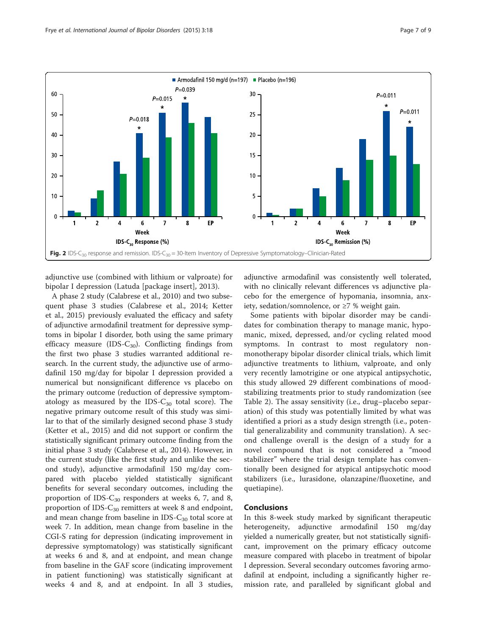<span id="page-6-0"></span>

adjunctive use (combined with lithium or valproate) for bipolar I depression (Latuda [package insert], [2013\)](#page-8-0).

A phase 2 study (Calabrese et al., [2010\)](#page-7-0) and two subsequent phase 3 studies (Calabrese et al., [2014](#page-7-0); Ketter et al., [2015\)](#page-8-0) previously evaluated the efficacy and safety of adjunctive armodafinil treatment for depressive symptoms in bipolar I disorder, both using the same primary efficacy measure (IDS- $C_{30}$ ). Conflicting findings from the first two phase 3 studies warranted additional research. In the current study, the adjunctive use of armodafinil 150 mg/day for bipolar I depression provided a numerical but nonsignificant difference vs placebo on the primary outcome (reduction of depressive symptomatology as measured by the IDS- $C_{30}$  total score). The negative primary outcome result of this study was similar to that of the similarly designed second phase 3 study (Ketter et al., [2015\)](#page-8-0) and did not support or confirm the statistically significant primary outcome finding from the initial phase 3 study (Calabrese et al., [2014\)](#page-7-0). However, in the current study (like the first study and unlike the second study), adjunctive armodafinil 150 mg/day compared with placebo yielded statistically significant benefits for several secondary outcomes, including the proportion of IDS- $C_{30}$  responders at weeks 6, 7, and 8, proportion of IDS- $C_{30}$  remitters at week 8 and endpoint, and mean change from baseline in IDS- $C_{30}$  total score at week 7. In addition, mean change from baseline in the CGI-S rating for depression (indicating improvement in depressive symptomatology) was statistically significant at weeks 6 and 8, and at endpoint, and mean change from baseline in the GAF score (indicating improvement in patient functioning) was statistically significant at weeks 4 and 8, and at endpoint. In all 3 studies,

adjunctive armodafinil was consistently well tolerated, with no clinically relevant differences vs adjunctive placebo for the emergence of hypomania, insomnia, anxiety, sedation/somnolence, or ≥7 % weight gain.

Some patients with bipolar disorder may be candidates for combination therapy to manage manic, hypomanic, mixed, depressed, and/or cycling related mood symptoms. In contrast to most regulatory nonmonotherapy bipolar disorder clinical trials, which limit adjunctive treatments to lithium, valproate, and only very recently lamotrigine or one atypical antipsychotic, this study allowed 29 different combinations of moodstabilizing treatments prior to study randomization (see Table [2](#page-4-0)). The assay sensitivity (i.e., drug–placebo separation) of this study was potentially limited by what was identified a priori as a study design strength (i.e., potential generalizability and community translation). A second challenge overall is the design of a study for a novel compound that is not considered a "mood stabilizer" where the trial design template has conventionally been designed for atypical antipsychotic mood stabilizers (i.e., lurasidone, olanzapine/fluoxetine, and quetiapine).

## Conclusions

In this 8-week study marked by significant therapeutic heterogeneity, adjunctive armodafinil 150 mg/day yielded a numerically greater, but not statistically significant, improvement on the primary efficacy outcome measure compared with placebo in treatment of bipolar I depression. Several secondary outcomes favoring armodafinil at endpoint, including a significantly higher remission rate, and paralleled by significant global and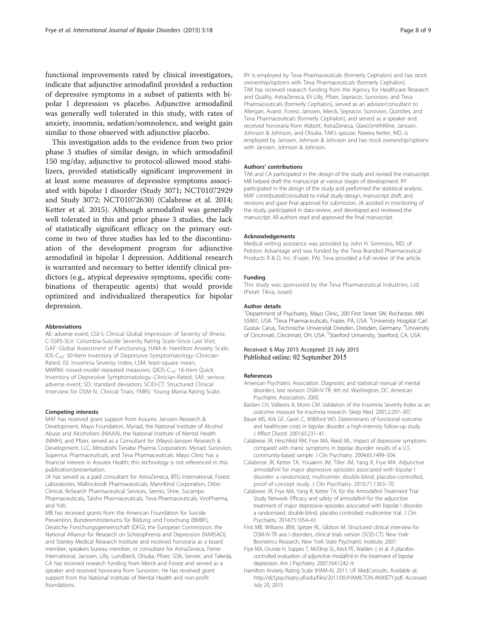<span id="page-7-0"></span>functional improvements rated by clinical investigators, indicate that adjunctive armodafinil provided a reduction of depressive symptoms in a subset of patients with bipolar I depression vs placebo. Adjunctive armodafinil was generally well tolerated in this study, with rates of anxiety, insomnia, sedation/somnolence, and weight gain similar to those observed with adjunctive placebo.

This investigation adds to the evidence from two prior phase 3 studies of similar design, in which armodafinil 150 mg/day, adjunctive to protocol-allowed mood stabilizers, provided statistically significant improvement in at least some measures of depressive symptoms associated with bipolar I disorder (Study 3071; [NCT01072929](http://www.clinicaltrials.gov/NCT01072929) and Study 3072; [NCT01072630\)](https://clinicaltrials.gov/ct2/show/NCT01072630) (Calabrese et al. 2014; Ketter et al. [2015](#page-8-0)). Although armodafinil was generally well tolerated in this and prior phase 3 studies, the lack of statistically significant efficacy on the primary outcome in two of three studies has led to the discontinuation of the development program for adjunctive armodafinil in bipolar I depression. Additional research is warranted and necessary to better identify clinical predictors (e.g., atypical depressive symptoms, specific combinations of therapeutic agents) that would provide optimized and individualized therapeutics for bipolar depression.

#### Abbreviations

AE: adverse event; CGI-S: Clinical Global Impression of Severity of Illness; C-SSRS-SLV: Columbia-Suicide Severity Rating Scale-Since Last Visit; GAF: Global Assessment of Functioning; HAM-A: Hamilton Anxiety Scale; IDS-C<sub>30</sub>: 30-Item Inventory of Depressive Symptomatology–Clinician-Rated; ISI: Insomnia Severity Index; LSM: least-square mean; MMRM: mixed-model repeated measures; QIDS-C<sub>16</sub>: 16-Item Quick Inventory of Depressive Symptomatology–Clinician-Rated; SAE: serious adverse event; SD: standard deviation; SCID-CT: Structured Clinical Interview for DSM-IV, Clinical Trials; YMRS: Young Mania Rating Scale.

#### Competing interests

MAF has received grant support from Assurex, Janssen Research & Development, Mayo Foundation, Myriad, the National Institute of Alcohol Abuse and Alcoholism (NIAAA), the National Institute of Mental Health (NIMH), and Pfizer, served as a Consultant for (Mayo)-Janssen Research & Development, LLC, Mitsubishi Tanabe Pharma Corporation, Myriad, Sunovion, Supernus Pharmaceuticals, and Teva Pharmaceuticals. Mayo Clinic has a financial interest in Assurex Health; this technology is not referenced in this publication/presentation.

JA has served as a paid consultant for AstraZeneca, BTG International, Forest Laboratories, Mallinckrodt Pharmaceuticals, MannKind Corporation, Orbis Clinical, ReSearch Pharmaceutical Services, Sermo, Shire, Sucampo Pharmaceuticals, Taisho Pharmaceuticals, Teva Pharmaceuticals, ViroPharma, and Yoh.

MB has received grants from the American Foundation for Suicide Prevention, Bundesministeriums für Bildung und Forschung (BMBF), Deutsche Forschungsgemeinschaft (DFG), the European Commission, the National Alliance for Research on Schizophrenia and Depression (NARSAD), and Stanley Medical Research Institute and received honoraria as a board member, speakers bureau member, or consultant for AstraZeneca, Ferrer International, Janssen, Lilly, Lundbeck, Otsuka, Pfizer, GSK, Servier, and Takeda. CA has received research funding from Merck and Forest and served as a speaker and received honoraria from Sunovion. He has received grant support from the National Institute of Mental Health and non-profit foundations.

RY is employed by Teva Pharmaceuticals (formerly Cephalon) and has stock ownership/options with Teva Pharmaceuticals (formerly Cephalon). TAK has received research funding from the Agency for Healthcare Research and Quality, AstraZeneca, Eli Lilly, Pfizer, Sepracor, Sunovion, and Teva Pharmaceuticals (formerly Cephalon), served as an advisor/consultant to Allergan, Avanir, Forest, Janssen, Merck, Sepracor, Sunovion, Quintiles, and Teva Pharmaceuticals (formerly Cephalon), and served as a speaker and received honoraria from Abbott, AstraZeneca, GlaxoSmithKline, Janssen, Johnson & Johnson, and Otsuka. TAK's spouse, Nzeera Ketter, MD, is employed by Janssen, Johnson & Johnson and has stock ownership/options with Janssen, Johnson & Johnson.

#### Authors' contributions

TAK and CA participated in the design of the study and revised the manuscript. MB helped draft the manuscript at various stages of development. RY participated in the design of the study and performed the statistical analysis. MAF contributed/consulted to initial study design, manuscript draft, and revisions and gave final approval for submission. JA assisted in monitoring of the study, participated in data review, and developed and reviewed the manuscript. All authors read and approved the final manuscript.

#### Acknowledgements

Medical writing assistance was provided by John H. Simmons, MD, of Peloton Advantage and was funded by the Teva Branded Pharmaceutical Products R & D, Inc. (Frazer, PA). Teva provided a full review of the article.

#### Funding

This study was sponsored by the Teva Pharmaceutical Industries, Ltd. (Petah Tikva, Israel).

#### Author details

<sup>1</sup>Department of Psychiatry, Mayo Clinic, 200 First Street SW, Rochester, MN 55901, USA. <sup>2</sup> Teva Pharmaceuticals, Frazer, PA, USA. <sup>3</sup> University Hospital Carl Gustav Carus, Technische Universität Dresden, Dresden, Germany. <sup>4</sup>University of Cincinnati, Cincinnati, OH, USA. <sup>5</sup>Stanford University, Stanford, CA, USA.

Received: 6 May 2015 Accepted: 23 July 2015 Published online: 02 September 2015

#### References

- American Psychiatric Association. Diagnostic and statistical manual of mental disorders, text revision: DSM-IV-TR. 4th ed. Washington, DC: American Psychiatric Association; 2000.
- Bastien CH, Vallieres A, Morin CM. Validation of the Insomnia Severity Index as an outcome measure for insomnia research. Sleep Med. 2001;2:297–307.
- Bauer MS, Kirk GF, Gavin C, Williford WO. Determinants of functional outcome and healthcare costs in bipolar disorder: a high-intensity follow-up study. J Affect Disord. 2001;65:231–41.
- Calabrese JR, Hirschfeld RM, Frye MA, Reed ML. Impact of depressive symptoms compared with manic symptoms in bipolar disorder: results of a U.S. community-based sample. J Clin Psychiatry. 2004;65:1499–504.
- Calabrese JR, Ketter TA, Youakim JM, Tiller JM, Yang R, Frye MA. Adjunctive armodafinil for major depressive episodes associated with bipolar I disorder: a randomized, multicenter, double-blind, placebo-controlled, proof-of-concept study. J Clin Psychiatry. 2010;71:1363–70.
- Calabrese JR, Frye MA, Yang R, Ketter TA, for the Armodafinil Treatment Trial Study Network. Efficacy and safety of armodafinil for the adjunctive treatment of major depressive episodes associated with bipolar I disorder: a randomized, double-blind, placebo-controlled; multicenter trial. J Clin Psychiatry. 2014;75:1054–61.
- First MB, Williams JBW, Spitzer RL, Gibbon M. Structured clinical interview for DSM-IV-TR axis I disorders, clinical trials version (SCID-CT). New York: Biometrics Research, New York State Psychiatric Institute; 2007.
- Frye MA, Grunze H, Suppes T, McElroy SL, Keck PE, Walden J, et al. A placebocontrolled evaluation of adjunctive modafinil in the treatment of bipolar depression. Am J Psychiatry. 2007;164:1242–9.
- Hamilton Anxiety Rating Scale (HAM-A). 2011; UF MedConsults. Available at: [http://dcf.psychiatry.ufl.edu/files/2011/05/HAMILTON-ANXIETY.pdf.](http://dcf.psychiatry.ufl.edu/files/2011/05/HAMILTON-ANXIETY.pdf) Accessed: July 20, 2015.